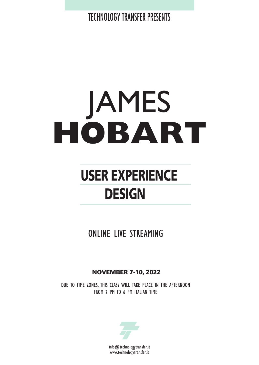TECHNOLOGY TRANSFER PRESENTS

# JAMES **HOBART**

## **USER EXPERIENCE DESIGN**

ONLINE LIVE STREAMING

**NOVEMBER 7-10, 2022**

DUE TO TIME ZONES, THIS CLASS WILL TAKE PLACE IN THE AFTERNOON FROM 2 PM TO 6 PM ITALIAN TIME

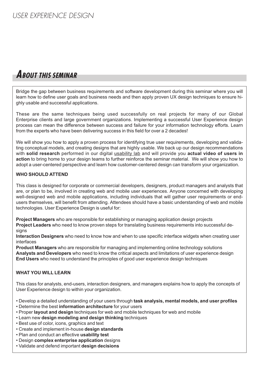## **ABOUT THIS SEMINAR**

Bridge the gap between business requirements and software development during this seminar where you will learn how to define user goals and business needs and then apply proven UX design techniques to ensure highly usable and successful applications.

These are the same techniques being used successfully on real projects for many of our Global Enterprise clients and large government organizations. Implementing a successful User Experience design process can mean the difference between success and failure for your information technology efforts. Learn from the experts who have been delivering success in this field for over a 2 decades!

We will show you how to apply a proven process for identifying true user requirements, developing and validating conceptual models, and creating designs that are highly usable. We back up our design recommendations with **solid research** performed in our digital usability lab and will provide you **actual video of users in action** to bring home to your design teams to further reinforce the seminar material. We will show you how to adopt a user-centered perspective and learn how customer-centered design can transform your organization.

#### **WHO SHOULD ATTEND**

This class is designed for corporate or commercial developers, designers, product managers and analysts that are, or plan to be, involved in creating web and mobile user experiences. Anyone concerned with developing well-designed web and mobile applications, including individuals that will gather user requirements or endusers themselves, will benefit from attending. Attendees should have a basic understanding of web and mobile technologies. User Experience Design is useful for:

**Project Managers** who are responsible for establishing or managing application design projects **Project Leaders** who need to know proven steps for translating business requirements into successful desians

**Interaction Designers** who need to know how and when to use specific interface widgets when creating user interfaces

**Product Managers** who are responsible for managing and implementing online technology solutions **Analysts and Developers** who need to know the critical aspects and limitations of user experience design **End Users** who need to understand the principles of good user experience design techniques

#### **WHAT YOU WILL LEARN**

This class for analysts, end-users, interaction designers, and managers explains how to apply the concepts of User Experience design to within your organization.

• Develop a detailed understanding of your users through **task analysis, mental models, and user profiles**

- Determine the best **information architecture** for your users
- Proper **layout and design** techniques for web and mobile techniques for web and mobile
- Learn new **design modeling and design thinking** techniques
- Best use of color, icons, graphics and text
- Create and implement in-house **design standards**
- Plan and conduct an effective **usability test**
- Design **complex enterprise application** designs
- Validate and defend important **design decisions**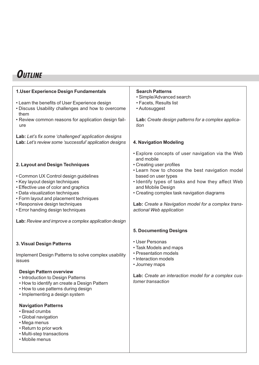## **OUTLINE**

| 1. User Experience Design Fundamentals                                                                                                                                                                                                                                                                  | <b>Search Patterns</b><br>· Simple/Advanced search                                                                                                                                                                                                                                                                                                                                |
|---------------------------------------------------------------------------------------------------------------------------------------------------------------------------------------------------------------------------------------------------------------------------------------------------------|-----------------------------------------------------------------------------------------------------------------------------------------------------------------------------------------------------------------------------------------------------------------------------------------------------------------------------------------------------------------------------------|
| • Learn the benefits of User Experience design<br>• Discuss Usability challenges and how to overcome<br>them                                                                                                                                                                                            | • Facets, Results list<br>• Autosuggest                                                                                                                                                                                                                                                                                                                                           |
| • Review common reasons for application design fail-<br>ure                                                                                                                                                                                                                                             | Lab: Create design patterns for a complex applica-<br>tion                                                                                                                                                                                                                                                                                                                        |
| Lab: Let's fix some 'challenged' application designs<br>Lab: Let's review some 'successful' application designs                                                                                                                                                                                         | 4. Navigation Modeling                                                                                                                                                                                                                                                                                                                                                            |
| 2. Layout and Design Techniques<br>• Common UX Control design guidelines<br>• Key layout design techniques<br>• Effective use of color and graphics<br>• Data visualization techniques<br>• Form layout and placement techniques<br>• Responsive design techniques<br>• Error handing design techniques | • Explore concepts of user navigation via the Web<br>and mobile<br>• Creating user profiles<br>• Learn how to choose the best navigation model<br>based on user types<br>• Identify types of tasks and how they affect Web<br>and Mobile Design<br>• Creating complex task navigation diagrams<br>Lab: Create a Navigation model for a complex trans-<br>actional Web application |
| Lab: Review and improve a complex application design                                                                                                                                                                                                                                                    |                                                                                                                                                                                                                                                                                                                                                                                   |
|                                                                                                                                                                                                                                                                                                         | <b>5. Documenting Designs</b>                                                                                                                                                                                                                                                                                                                                                     |
| 3. Visual Design Patterns                                                                                                                                                                                                                                                                               | • User Personas<br>• Task Models and maps                                                                                                                                                                                                                                                                                                                                         |
| Implement Design Patterns to solve complex usability<br>issues                                                                                                                                                                                                                                          | • Presentation models<br>• Interaction models<br>• Journey maps                                                                                                                                                                                                                                                                                                                   |
| <b>Design Pattern overview</b><br>• Introduction to Design Patterns<br>• How to identify an create a Design Pattern<br>• How to use patterns during design<br>• Implementing a design system                                                                                                            | Lab: Create an interaction model for a complex cus-<br>tomer transaction                                                                                                                                                                                                                                                                                                          |
| <b>Navigation Patterns</b><br>• Bread crumbs<br>• Global navigation<br>• Mega menus<br>• Return to prior work                                                                                                                                                                                           |                                                                                                                                                                                                                                                                                                                                                                                   |
| • Multi-step transactions<br>• Mobile menus                                                                                                                                                                                                                                                             |                                                                                                                                                                                                                                                                                                                                                                                   |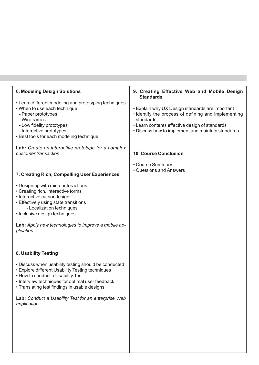| <b>6. Modeling Design Solutions</b>                                                                                                                                                                                                                                                 | 9. Creating Effective Web and Mobile Design<br><b>Standards</b>                                                                                                                                                            |
|-------------------------------------------------------------------------------------------------------------------------------------------------------------------------------------------------------------------------------------------------------------------------------------|----------------------------------------------------------------------------------------------------------------------------------------------------------------------------------------------------------------------------|
| • Learn different modeling and prototyping techniques<br>• When to use each technique<br>- Paper prototypes<br>- Wireframes<br>- Low fidelity prototypes<br>- Interactive prototypes<br>• Best tools for each modeling technique                                                    | • Explain why UX Design standards are important<br>• Identify the process of defining and implementing<br>standards<br>• Learn contents effective design of standards<br>• Discuss how to implement and maintain standards |
| Lab: Create an interactive prototype for a complex<br>customer transaction                                                                                                                                                                                                          | <b>10. Course Conclusion</b>                                                                                                                                                                                               |
| 7. Creating Rich, Compelling User Experiences                                                                                                                                                                                                                                       | • Course Summary<br>• Questions and Answers                                                                                                                                                                                |
| • Designing with micro-interactions<br>• Creating rich, interactive forms<br>• Interactive cursor design<br>• Effectively using state transitions<br>- Localization techniques<br>• Inclusive design techniques<br>Lab: Apply new technologies to improve a mobile ap-<br>plication |                                                                                                                                                                                                                            |
| 8. Usability Testing                                                                                                                                                                                                                                                                |                                                                                                                                                                                                                            |
| • Discuss when usability testing should be conducted<br>• Explore different Usability Testing techniques<br>• How to conduct a Usability Test<br>• Interview techniques for optimal user feedback<br>• Translating test findings in usable designs                                  |                                                                                                                                                                                                                            |
| Lab: Conduct a Usability Test for an enterprise Web<br>application                                                                                                                                                                                                                  |                                                                                                                                                                                                                            |
|                                                                                                                                                                                                                                                                                     |                                                                                                                                                                                                                            |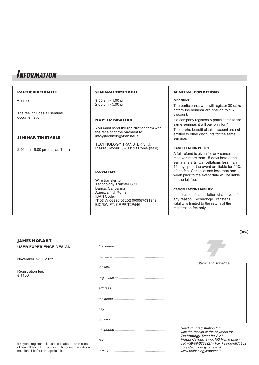## **INFORMATION**

| <b>PARTICIPATION FEE</b>               | <b>SEMINAR TIMETABLE</b>                                                                                                 | <b>GENERAL CONDITIONS</b>                                                                                                                                                                                   |
|----------------------------------------|--------------------------------------------------------------------------------------------------------------------------|-------------------------------------------------------------------------------------------------------------------------------------------------------------------------------------------------------------|
| € 1100<br>The fee includes all seminar | $9.30$ am - 1.00 pm<br>$2.00$ pm $-5.00$ pm                                                                              | <b>DISCOUNT</b><br>The participants who will register 30 days<br>before the seminar are entitled to a 5%                                                                                                    |
| documentation.                         | <b>HOW TO REGISTER</b><br>You must send the registration form with                                                       | discount.<br>If a company registers 5 participants to the<br>same seminar, it will pay only for 4.<br>Those who benefit of this discount are not                                                            |
| <b>SEMINAR TIMETABLE</b>               | the receipt of the payment to:<br>info@technologytransfer.it                                                             | entitled to other discounts for the same<br>seminar.                                                                                                                                                        |
| $2.00$ pm $-6.00$ pm (Italian Time)    | <b>TECHNOLOGY TRANSFER S.r.l.</b><br>Piazza Cavour, 3 - 00193 Rome (Italy)                                               | <b>CANCELLATION POLICY</b><br>A full refund is given for any cancellation<br>received more than 15 days before the<br>seminar starts. Cancellations less than<br>15 days prior the event are liable for 50% |
|                                        | <b>PAYMENT</b><br>Wire transfer to:<br>Technology Transfer S.r.l.                                                        | of the fee. Cancellations less than one<br>week prior to the event date will be liable<br>for the full fee.                                                                                                 |
|                                        | Banca: Cariparma<br>Agenzia 1 di Roma<br><b>IBAN Code:</b><br>IT 03 W 06230 03202 000057031348<br>BIC/SWIFT: CRPPIT2P546 | <b>CANCELLATION LIABILITY</b><br>In the case of cancellation of an event for<br>any reason, Technology Transfer's<br>liability is limited to the return of the<br>registration fee only.                    |

| <b>JAMES HOBART</b><br><b>USER EXPERIENCE DESIGN</b>                                                                                               |                                                                                                                        |
|----------------------------------------------------------------------------------------------------------------------------------------------------|------------------------------------------------------------------------------------------------------------------------|
| November 7-10, 2022                                                                                                                                |                                                                                                                        |
|                                                                                                                                                    | Stamp and signature                                                                                                    |
| Registration fee:<br>€ 1100                                                                                                                        |                                                                                                                        |
|                                                                                                                                                    |                                                                                                                        |
|                                                                                                                                                    |                                                                                                                        |
|                                                                                                                                                    |                                                                                                                        |
|                                                                                                                                                    |                                                                                                                        |
|                                                                                                                                                    | Send your registration form<br>with the receipt of the payment to:                                                     |
| If anyone registered is unable to attend, or in case<br>of cancellation of the seminar, the general conditions<br>mentioned before are applicable. | <b>Technology Transfer S.r.I.</b><br>Piazza Cavour, 3 - 00193 Rome (Italy)<br>Tel. +39-06-6832227 - Fax +39-06-6871102 |
|                                                                                                                                                    | info@technologytransfer.it<br>www.technologytransfer.it                                                                |

 $\Omega$